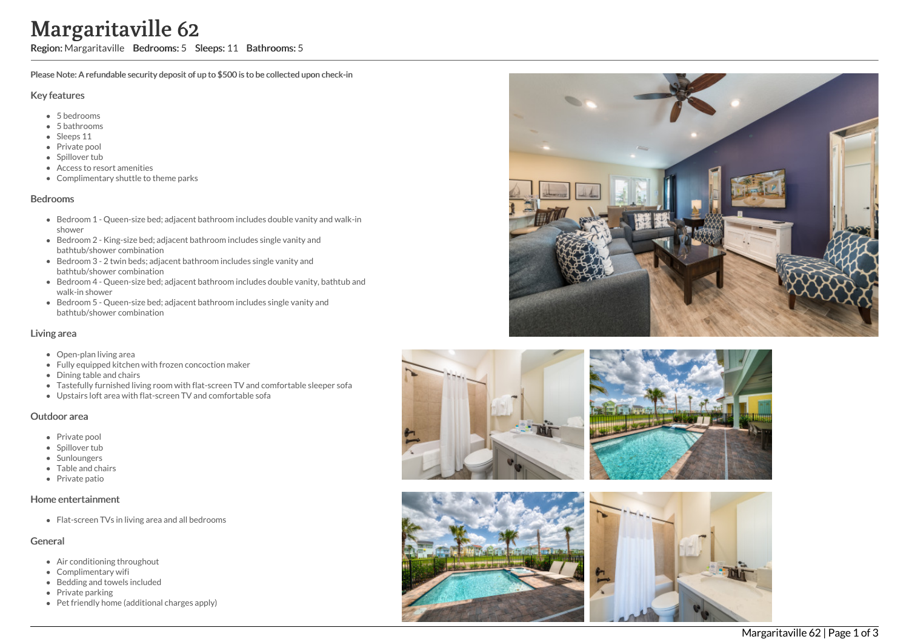# Margaritaville 62

Region: Margaritaville Bedrooms: 5 Sleeps: 11 Bathrooms: 5

Please Note: A refundable security deposit of up to \$500 is to be collected upon check-in

#### Key features

- 5 b e d r o o m s
- 5 bathrooms
- Sleeps 11
- Private pool
- Spillover tub
- Access to resort amenities
- Complimentary shuttle to theme parks

#### **Bedrooms**

- Bedroom 1 Queen-size bed; adjacent bathroom includes double vanity and walk-in s h o w e r
- Bedroom 2 King-size bed; adjacent bathroom includes single vanity and bathtub/shower combination
- Bedroom 3 2 twin beds; adjacent bathroom includes single vanity and bathtub/shower combination
- Bedroom 4 Queen-size bed; adjacent bathroom includes double vanity, bathtub and walk-in shower
- Bedroom 5 Queen-size bed; adjacent bathroom includes single vanity and bathtub/shower combination

# Living area

- Open-plan living area
- Fully equipped kitchen with frozen concoction maker
- Dining table and chairs
- Tastefully furnished living room with flat-screen TV and comfortable sleeper sofa
- Upstairs loft area with flat-screen TV and comfortable sofa

# Outdoor area

- Private pool
- Spillover tub
- Sunloungers
- Table and ch air s
- Private patio

#### Home entertainment

Flat-screen TVs in living area and all bedrooms

# General

- Air conditioning throughout
- Complimentary wifi
- Bedding and towels in clu d e d
- Private parking
- Pet friendly home (additional charges apply)







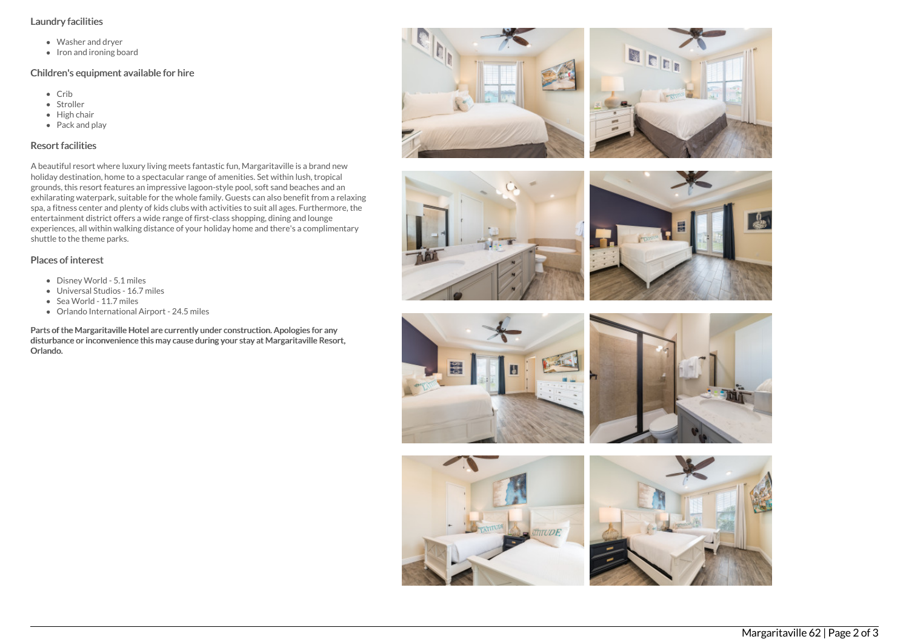# Laundry facilities

- Washer and dryer
- Iron and ironing board

# Children's equipment available for hire

- Crib
- Stroller
- $\bullet$  High chair
- Pack and play

# Resort facilities

A beautiful resort where luxury living meets fantastic fun, Margaritaville is a brand new holiday destination, home to a spectacular range of amenities. Set within lush, tropical grounds, this resort features an impressive lagoon-style pool, soft sand beaches and an exhilarating waterpark, suitable for the whole family. Guests can also benefit from a relaxing spa, a fitness center and plenty of kids clubs with activities to suit all ages. Furthermore, the entertainment district offers a wide range of first-class shopping, dining and lounge experiences, all within walking distance of your holiday home and there's a complimentary shuttle to the theme parks.

















- Disney World 5.1 miles
- Universal Studios 16.7 miles
- Sea World 11.7 miles
- Orlando International Airport 24.5 miles

Parts of the Margaritaville Hotel are currently under construction. Apologies for any disturbance or inconvenience this may cause during your stay at Margaritaville Resort, Orlando.